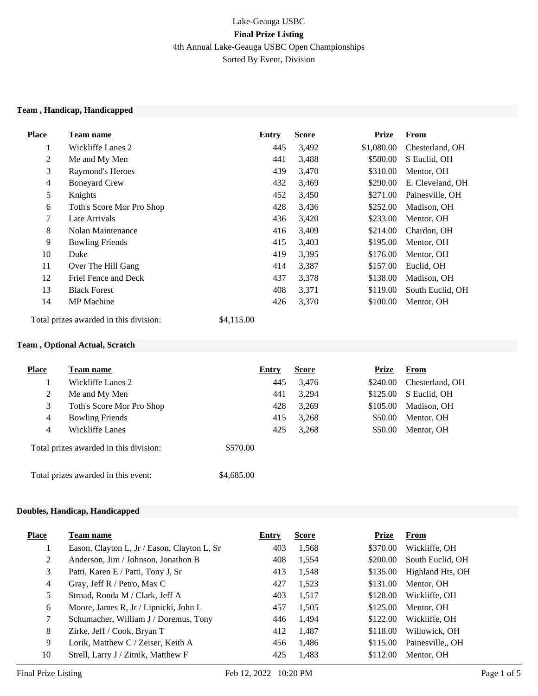# Lake-Geauga USBC **Final Prize Listing** 4th Annual Lake-Geauga USBC Open Championships Sorted By Event, Division

#### **Team , Handicap, Handicapped**

| <b>Place</b> | Team name                 | Entry | <b>Score</b> | <b>Prize</b> | <b>From</b>      |
|--------------|---------------------------|-------|--------------|--------------|------------------|
| $\perp$      | Wickliffe Lanes 2         | 445   | 3,492        | \$1,080.00   | Chesterland, OH  |
| 2            | Me and My Men             | 441   | 3,488        | \$580.00     | S Euclid, OH     |
| 3            | Raymond's Heroes          | 439   | 3,470        | \$310.00     | Mentor, OH       |
| 4            | <b>Boneyard Crew</b>      | 432   | 3,469        | \$290.00     | E. Cleveland, OH |
| 5            | Knights                   | 452   | 3,450        | \$271.00     | Painesville, OH  |
| 6            | Toth's Score Mor Pro Shop | 428   | 3,436        | \$252.00     | Madison, OH      |
| 7            | Late Arrivals             | 436   | 3,420        | \$233.00     | Mentor, OH       |
| 8            | Nolan Maintenance         | 416   | 3,409        | \$214.00     | Chardon, OH      |
| 9            | <b>Bowling Friends</b>    | 415   | 3,403        | \$195.00     | Mentor, OH       |
| 10           | Duke                      | 419   | 3,395        | \$176.00     | Mentor, OH       |
| 11           | Over The Hill Gang        | 414   | 3,387        | \$157.00     | Euclid, OH       |
| 12           | Friel Fence and Deck      | 437   | 3,378        | \$138.00     | Madison, OH      |
| 13           | <b>Black Forest</b>       | 408   | 3,371        | \$119.00     | South Euclid, OH |
| 14           | <b>MP</b> Machine         | 426   | 3,370        | \$100.00     | Mentor, OH       |

Total prizes awarded in this division: \$4,115.00

### **Team , Optional Actual, Scratch**

| <b>Place</b>                        | <b>Team name</b>                       | <b>Entry</b> | <b>Score</b> | <b>Prize</b> | From            |
|-------------------------------------|----------------------------------------|--------------|--------------|--------------|-----------------|
|                                     | Wickliffe Lanes 2                      | 445          | 3,476        | \$240.00     | Chesterland, OH |
| 2                                   | Me and My Men                          | 441          | 3,294        | \$125.00     | S Euclid, OH    |
| 3                                   | Toth's Score Mor Pro Shop              | 428          | 3,269        | \$105.00     | Madison, OH     |
| 4                                   | <b>Bowling Friends</b>                 | 415          | 3,268        | \$50.00      | Mentor, OH      |
| 4                                   | Wickliffe Lanes                        | 425          | 3,268        | \$50.00      | Mentor, OH      |
|                                     | Total prizes awarded in this division: | \$570.00     |              |              |                 |
| Total prizes awarded in this event: |                                        | \$4,685.00   |              |              |                 |

#### **Doubles, Handicap, Handicapped**

| <b>Place</b> | Team name                                   | <b>Entry</b> | <b>Score</b> | <b>Prize</b> | <b>From</b>      |
|--------------|---------------------------------------------|--------------|--------------|--------------|------------------|
|              | Eason, Clayton L, Jr / Eason, Clayton L, Sr | 403          | 1,568        | \$370.00     | Wickliffe, OH    |
| 2            | Anderson, Jim / Johnson, Jonathon B         | 408          | 1,554        | \$200.00     | South Euclid, OH |
| 3            | Patti, Karen E / Patti, Tony J, Sr          | 413          | 1,548        | \$135.00     | Highland Hts, OH |
| 4            | Gray, Jeff R / Petro, Max C                 | 427          | 1,523        | \$131.00     | Mentor, OH       |
| 5            | Strnad, Ronda M / Clark, Jeff A             | 403          | 1,517        | \$128.00     | Wickliffe, OH    |
| 6            | Moore, James R, Jr / Lipnicki, John L       | 457          | 1,505        | \$125.00     | Mentor, OH       |
| 7            | Schumacher, William J / Doremus, Tony       | 446          | 1,494        | \$122.00     | Wickliffe, OH    |
| 8            | Zirke, Jeff / Cook, Bryan T                 | 412          | 1,487        | \$118.00     | Willowick, OH    |
| 9            | Lorik, Matthew C / Zeiser, Keith A          | 456          | 1,486        | \$115.00     | Painesville, OH  |
| 10           | Strell, Larry J / Zitnik, Matthew F         | 425          | 1.483        | \$112.00     | Mentor, OH       |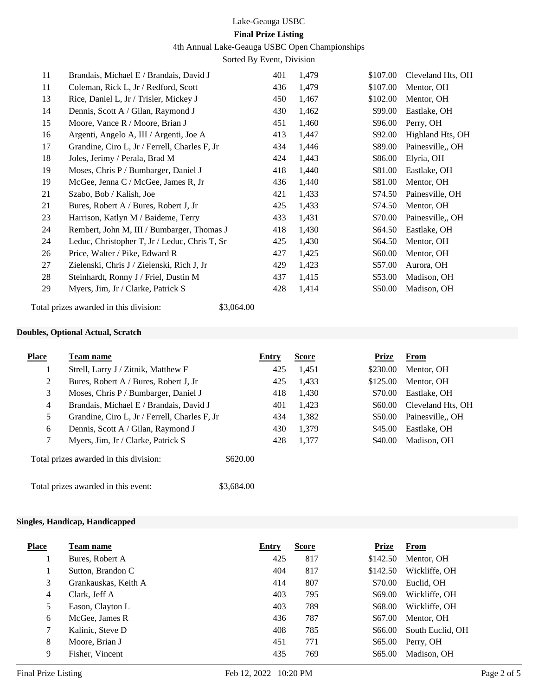#### 4th Annual Lake-Geauga USBC Open Championships

Sorted By Event, Division

| 11 | Brandais, Michael E / Brandais, David J       | 401 | 1,479 | \$107.00 | Cleveland Hts, OH |
|----|-----------------------------------------------|-----|-------|----------|-------------------|
| 11 | Coleman, Rick L, Jr / Redford, Scott          | 436 | 1,479 | \$107.00 | Mentor, OH        |
| 13 | Rice, Daniel L, Jr / Trisler, Mickey J        | 450 | 1,467 | \$102.00 | Mentor, OH        |
| 14 | Dennis, Scott A / Gilan, Raymond J            | 430 | 1,462 | \$99.00  | Eastlake, OH      |
| 15 | Moore, Vance R / Moore, Brian J               | 451 | 1,460 | \$96.00  | Perry, OH         |
| 16 | Argenti, Angelo A, III / Argenti, Joe A       | 413 | 1,447 | \$92.00  | Highland Hts, OH  |
| 17 | Grandine, Ciro L, Jr / Ferrell, Charles F, Jr | 434 | 1,446 | \$89.00  | Painesville,, OH  |
| 18 | Joles, Jerimy / Perala, Brad M                | 424 | 1,443 | \$86.00  | Elyria, OH        |
| 19 | Moses, Chris P / Bumbarger, Daniel J          | 418 | 1,440 | \$81.00  | Eastlake, OH      |
| 19 | McGee, Jenna C / McGee, James R, Jr           | 436 | 1,440 | \$81.00  | Mentor, OH        |
| 21 | Szabo, Bob / Kalish, Joe                      | 421 | 1,433 | \$74.50  | Painesville, OH   |
| 21 | Bures, Robert A / Bures, Robert J, Jr         | 425 | 1,433 | \$74.50  | Mentor, OH        |
| 23 | Harrison, Katlyn M / Baideme, Terry           | 433 | 1,431 | \$70.00  | Painesville,, OH  |
| 24 | Rembert, John M, III / Bumbarger, Thomas J    | 418 | 1,430 | \$64.50  | Eastlake, OH      |
| 24 | Leduc, Christopher T, Jr / Leduc, Chris T, Sr | 425 | 1,430 | \$64.50  | Mentor, OH        |
| 26 | Price, Walter / Pike, Edward R                | 427 | 1,425 | \$60.00  | Mentor, OH        |
| 27 | Zielenski, Chris J / Zielenski, Rich J, Jr    | 429 | 1,423 | \$57.00  | Aurora, OH        |
| 28 | Steinhardt, Ronny J / Friel, Dustin M         | 437 | 1,415 | \$53.00  | Madison, OH       |
| 29 | Myers, Jim, Jr / Clarke, Patrick S            | 428 | 1,414 | \$50.00  | Madison, OH       |
|    |                                               |     |       |          |                   |

## Total prizes awarded in this division: \$3,064.00

#### **Doubles, Optional Actual, Scratch**

| <b>Place</b>   | Team name                                     | Entry    | <b>Score</b> | Prize    | From              |
|----------------|-----------------------------------------------|----------|--------------|----------|-------------------|
|                | Strell, Larry J / Zitnik, Matthew F           | 425      | 1,451        | \$230.00 | Mentor, OH        |
| 2              | Bures, Robert A / Bures, Robert J, Jr         | 425      | 1,433        | \$125.00 | Mentor, OH        |
| 3              | Moses, Chris P / Bumbarger, Daniel J          | 418      | 1,430        | \$70.00  | Eastlake, OH      |
| $\overline{4}$ | Brandais, Michael E / Brandais, David J       | 401      | 1,423        | \$60.00  | Cleveland Hts, OH |
| 5              | Grandine, Ciro L, Jr / Ferrell, Charles F, Jr | 434      | 1,382        | \$50.00  | Painesville,, OH  |
| 6              | Dennis, Scott A / Gilan, Raymond J            | 430      | 1,379        | \$45.00  | Eastlake, OH      |
| 7              | Myers, Jim, Jr / Clarke, Patrick S            | 428      | 1,377        | \$40.00  | Madison, OH       |
|                | Total prizes awarded in this division:        | \$620.00 |              |          |                   |

Total prizes awarded in this event: \$3,684.00

## **Singles, Handicap, Handicapped**

| <b>Place</b> | Team name            | Entry | <b>Score</b> | Prize    | <b>From</b>      |
|--------------|----------------------|-------|--------------|----------|------------------|
|              | Bures, Robert A      | 425   | 817          | \$142.50 | Mentor, OH       |
|              | Sutton, Brandon C    | 404   | 817          | \$142.50 | Wickliffe, OH    |
| 3            | Grankauskas, Keith A | 414   | 807          | \$70.00  | Euclid, OH       |
| 4            | Clark, Jeff A        | 403   | 795          | \$69.00  | Wickliffe. OH    |
| 5            | Eason, Clayton L     | 403   | 789          | \$68.00  | Wickliffe, OH    |
| 6            | McGee, James R       | 436   | 787          | \$67.00  | Mentor, OH       |
| 7            | Kalinic, Steve D     | 408   | 785          | \$66.00  | South Euclid, OH |
| 8            | Moore, Brian J       | 451   | 771          | \$65.00  | Perry, OH        |
| 9            | Fisher, Vincent      | 435   | 769          | \$65.00  | Madison, OH      |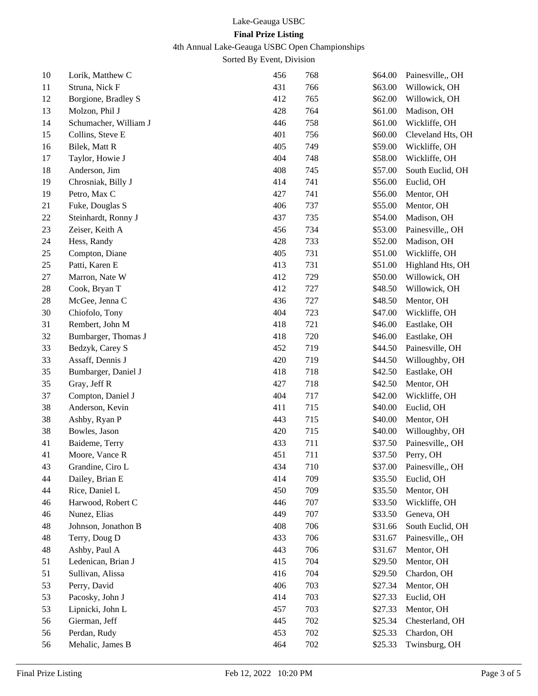# 4th Annual Lake-Geauga USBC Open Championships

Sorted By Event, Division

| 10 | Lorik, Matthew C      | 456 | 768 | \$64.00 | Painesville,, OH  |
|----|-----------------------|-----|-----|---------|-------------------|
| 11 | Struna, Nick F        | 431 | 766 | \$63.00 | Willowick, OH     |
| 12 | Borgione, Bradley S   | 412 | 765 | \$62.00 | Willowick, OH     |
| 13 | Molzon, Phil J        | 428 | 764 | \$61.00 | Madison, OH       |
| 14 | Schumacher, William J | 446 | 758 | \$61.00 | Wickliffe, OH     |
| 15 | Collins, Steve E      | 401 | 756 | \$60.00 | Cleveland Hts, OH |
| 16 | Bilek, Matt R         | 405 | 749 | \$59.00 | Wickliffe, OH     |
| 17 | Taylor, Howie J       | 404 | 748 | \$58.00 | Wickliffe, OH     |
| 18 | Anderson, Jim         | 408 | 745 | \$57.00 | South Euclid, OH  |
| 19 | Chrosniak, Billy J    | 414 | 741 | \$56.00 | Euclid, OH        |
| 19 | Petro, Max C          | 427 | 741 | \$56.00 | Mentor, OH        |
| 21 | Fuke, Douglas S       | 406 | 737 | \$55.00 | Mentor, OH        |
| 22 | Steinhardt, Ronny J   | 437 | 735 | \$54.00 | Madison, OH       |
| 23 | Zeiser, Keith A       | 456 | 734 | \$53.00 | Painesville,, OH  |
| 24 | Hess, Randy           | 428 | 733 | \$52.00 | Madison, OH       |
| 25 | Compton, Diane        | 405 | 731 | \$51.00 | Wickliffe, OH     |
| 25 | Patti, Karen E        | 413 | 731 | \$51.00 | Highland Hts, OH  |
| 27 | Marron, Nate W        | 412 | 729 | \$50.00 | Willowick, OH     |
| 28 | Cook, Bryan T         | 412 | 727 | \$48.50 | Willowick, OH     |
| 28 | McGee, Jenna C        | 436 | 727 | \$48.50 | Mentor, OH        |
| 30 | Chiofolo, Tony        | 404 | 723 | \$47.00 | Wickliffe, OH     |
| 31 | Rembert, John M       | 418 | 721 | \$46.00 | Eastlake, OH      |
| 32 | Bumbarger, Thomas J   | 418 | 720 | \$46.00 | Eastlake, OH      |
| 33 | Bedzyk, Carey S       | 452 | 719 | \$44.50 | Painesville, OH   |
| 33 | Assaff, Dennis J      | 420 | 719 | \$44.50 | Willoughby, OH    |
| 35 | Bumbarger, Daniel J   | 418 | 718 | \$42.50 | Eastlake, OH      |
| 35 | Gray, Jeff R          | 427 | 718 | \$42.50 | Mentor, OH        |
| 37 | Compton, Daniel J     | 404 | 717 | \$42.00 | Wickliffe, OH     |
| 38 | Anderson, Kevin       | 411 | 715 | \$40.00 | Euclid, OH        |
| 38 | Ashby, Ryan P         | 443 | 715 | \$40.00 | Mentor, OH        |
| 38 | Bowles, Jason         | 420 | 715 | \$40.00 | Willoughby, OH    |
| 41 | Baideme, Terry        | 433 | 711 | \$37.50 | Painesville,, OH  |
| 41 | Moore, Vance R        | 451 | 711 | \$37.50 | Perry, OH         |
| 43 | Grandine, Ciro L      | 434 | 710 | \$37.00 | Painesville,, OH  |
| 44 | Dailey, Brian E       | 414 | 709 | \$35.50 | Euclid, OH        |
| 44 | Rice, Daniel L        | 450 | 709 | \$35.50 | Mentor, OH        |
| 46 | Harwood, Robert C     | 446 | 707 | \$33.50 | Wickliffe, OH     |
| 46 | Nunez, Elias          | 449 | 707 | \$33.50 | Geneva, OH        |
| 48 | Johnson, Jonathon B   | 408 | 706 | \$31.66 | South Euclid, OH  |
| 48 | Terry, Doug D         | 433 | 706 | \$31.67 | Painesville,, OH  |
| 48 | Ashby, Paul A         | 443 | 706 | \$31.67 | Mentor, OH        |
| 51 | Ledenican, Brian J    | 415 | 704 | \$29.50 | Mentor, OH        |
| 51 | Sullivan, Alissa      | 416 | 704 | \$29.50 | Chardon, OH       |
| 53 | Perry, David          | 406 | 703 | \$27.34 | Mentor, OH        |
| 53 | Pacosky, John J       | 414 | 703 | \$27.33 | Euclid, OH        |
| 53 | Lipnicki, John L      | 457 | 703 | \$27.33 | Mentor, OH        |
| 56 | Gierman, Jeff         | 445 | 702 | \$25.34 | Chesterland, OH   |
| 56 | Perdan, Rudy          | 453 | 702 | \$25.33 | Chardon, OH       |
| 56 | Mehalic, James B      | 464 | 702 | \$25.33 | Twinsburg, OH     |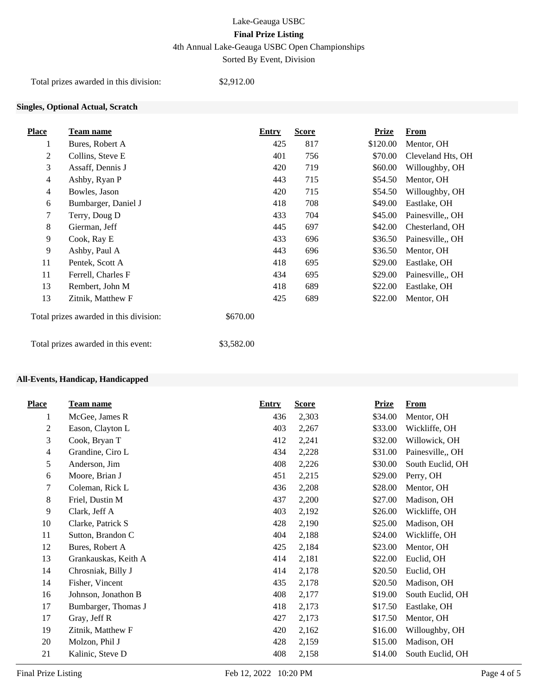4th Annual Lake-Geauga USBC Open Championships

Sorted By Event, Division

Total prizes awarded in this division: \$2,912.00

## **Singles, Optional Actual, Scratch**

| <b>Place</b> | Team name                                          | Entry | <b>Score</b> | <b>Prize</b> | <b>From</b>       |
|--------------|----------------------------------------------------|-------|--------------|--------------|-------------------|
| 1            | Bures, Robert A                                    | 425   | 817          | \$120.00     | Mentor, OH        |
| 2            | Collins, Steve E                                   | 401   | 756          | \$70.00      | Cleveland Hts, OH |
| 3            | Assaff, Dennis J                                   | 420   | 719          | \$60.00      | Willoughby, OH    |
| 4            | Ashby, Ryan P                                      | 443   | 715          | \$54.50      | Mentor, OH        |
| 4            | Bowles, Jason                                      | 420   | 715          | \$54.50      | Willoughby, OH    |
| 6            | Bumbarger, Daniel J                                | 418   | 708          | \$49.00      | Eastlake, OH      |
| 7            | Terry, Doug D                                      | 433   | 704          | \$45.00      | Painesville, OH   |
| 8            | Gierman, Jeff                                      | 445   | 697          | \$42.00      | Chesterland, OH   |
| 9            | Cook, Ray E                                        | 433   | 696          | \$36.50      | Painesville,, OH  |
| 9            | Ashby, Paul A                                      | 443   | 696          | \$36.50      | Mentor, OH        |
| 11           | Pentek, Scott A                                    | 418   | 695          | \$29.00      | Eastlake, OH      |
| 11           | Ferrell, Charles F                                 | 434   | 695          | \$29.00      | Painesville, OH   |
| 13           | Rembert, John M                                    | 418   | 689          | \$22.00      | Eastlake, OH      |
| 13           | Zitnik, Matthew F                                  | 425   | 689          | \$22.00      | Mentor, OH        |
|              | Total prizes awarded in this division:<br>\$670.00 |       |              |              |                   |
|              | Total prizes awarded in this event:<br>\$3,582.00  |       |              |              |                   |

#### **All-Events, Handicap, Handicapped**

| <b>Place</b>   | <b>Team name</b>     | <b>Entry</b> | <b>Score</b> | <b>Prize</b> | <b>From</b>      |
|----------------|----------------------|--------------|--------------|--------------|------------------|
| 1              | McGee, James R       | 436          | 2,303        | \$34.00      | Mentor, OH       |
| $\mathbf{2}$   | Eason, Clayton L     | 403          | 2,267        | \$33.00      | Wickliffe, OH    |
| 3              | Cook, Bryan T        | 412          | 2,241        | \$32.00      | Willowick, OH    |
| $\overline{4}$ | Grandine, Ciro L     | 434          | 2,228        | \$31.00      | Painesville,, OH |
| 5              | Anderson, Jim        | 408          | 2,226        | \$30.00      | South Euclid, OH |
| 6              | Moore, Brian J       | 451          | 2,215        | \$29.00      | Perry, OH        |
| 7              | Coleman, Rick L      | 436          | 2,208        | \$28.00      | Mentor, OH       |
| 8              | Friel, Dustin M      | 437          | 2,200        | \$27.00      | Madison, OH      |
| 9              | Clark, Jeff A        | 403          | 2,192        | \$26.00      | Wickliffe, OH    |
| 10             | Clarke, Patrick S    | 428          | 2,190        | \$25.00      | Madison, OH      |
| 11             | Sutton, Brandon C    | 404          | 2,188        | \$24.00      | Wickliffe, OH    |
| 12             | Bures, Robert A      | 425          | 2,184        | \$23.00      | Mentor, OH       |
| 13             | Grankauskas, Keith A | 414          | 2,181        | \$22.00      | Euclid, OH       |
| 14             | Chrosniak, Billy J   | 414          | 2,178        | \$20.50      | Euclid, OH       |
| 14             | Fisher, Vincent      | 435          | 2,178        | \$20.50      | Madison, OH      |
| 16             | Johnson, Jonathon B  | 408          | 2,177        | \$19.00      | South Euclid, OH |
| 17             | Bumbarger, Thomas J  | 418          | 2,173        | \$17.50      | Eastlake, OH     |
| 17             | Gray, Jeff R         | 427          | 2,173        | \$17.50      | Mentor, OH       |
| 19             | Zitnik, Matthew F    | 420          | 2,162        | \$16.00      | Willoughby, OH   |
| 20             | Molzon, Phil J       | 428          | 2,159        | \$15.00      | Madison, OH      |
| 21             | Kalinic, Steve D     | 408          | 2,158        | \$14.00      | South Euclid, OH |